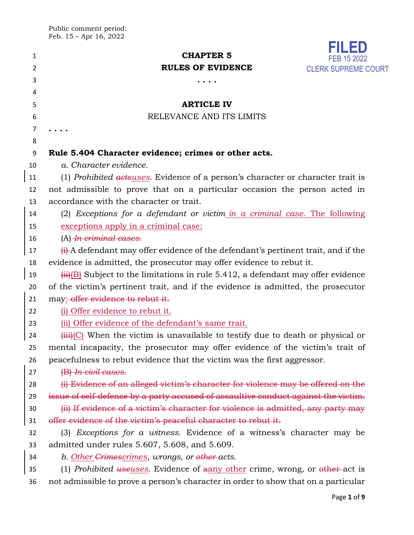| 1  | <b>CHAPTER 5</b>                                                                                 |
|----|--------------------------------------------------------------------------------------------------|
| 2  | <b>RULES OF EVIDENCE</b><br><b>CLERK SUPREME COURT</b>                                           |
| 3  | $\cdots$                                                                                         |
| 4  |                                                                                                  |
| 5  | <b>ARTICLE IV</b>                                                                                |
| 6  | RELEVANCE AND ITS LIMITS                                                                         |
| 7  | $\ddot{\phantom{a}}$                                                                             |
| 8  |                                                                                                  |
| 9  | Rule 5.404 Character evidence; crimes or other acts.                                             |
| 10 | a. Character evidence.                                                                           |
| 11 | (1) Prohibited actsuses. Evidence of a person's character or character trait is                  |
| 12 | not admissible to prove that on a particular occasion the person acted in                        |
| 13 | accordance with the character or trait.                                                          |
| 14 | (2) Exceptions for a defendant or victim in a criminal case. The following                       |
| 15 | exceptions apply in a criminal case:                                                             |
| 16 | (A) In criminal cases.                                                                           |
| 17 | $\overline{H}$ . A defendant may offer evidence of the defendant's pertinent trait, and if the   |
| 18 | evidence is admitted, the prosecutor may offer evidence to rebut it.                             |
| 19 | $\overline{H}$ [B] Subject to the limitations in rule 5.412, a defendant may offer evidence      |
| 20 | of the victim's pertinent trait, and if the evidence is admitted, the prosecutor                 |
| 21 | may: offer evidence to rebut it.                                                                 |
| 22 | (i) Offer evidence to rebut it.                                                                  |
| 23 | (ii) Offer evidence of the defendant's same trait.                                               |
| 24 | $\overline{\text{Hil}(C)}$ When the victim is unavailable to testify due to death or physical or |
| 25 | mental incapacity, the prosecutor may offer evidence of the victim's trait of                    |
| 26 | peacefulness to rebut evidence that the victim was the first aggressor.                          |
| 27 | (B) In civil cases.                                                                              |
| 28 | (i) Evidence of an alleged victim's character for violence may be offered on the                 |
| 29 | issue of self defense by a party accused of assaultive conduct against the victim.               |
| 30 | (ii) If evidence of a victim's character for violence is admitted, any party may                 |
| 31 | offer evidence of the victim's peaceful character to rebut it.                                   |
| 32 | (3) Exceptions for a witness. Evidence of a witness's character may be                           |
| 33 | admitted under rules 5.607, 5.608, and 5.609.                                                    |
| 34 | b. Other Crimescrimes, wrongs, or other acts.                                                    |
| 35 | (1) Prohibited useuses. Evidence of a any other crime, wrong, or other-act is                    |
| 36 | not admissible to prove a person's character in order to show that on a particular               |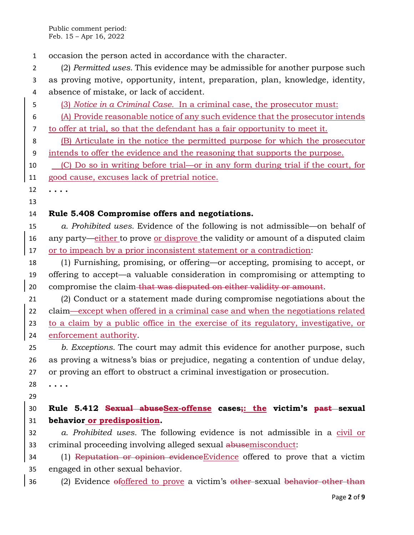Public comment period: Feb. 15 – Apr 16, 2022

occasion the person acted in accordance with the character.

 (2) *Permitted uses.* This evidence may be admissible for another purpose such as proving motive, opportunity, intent, preparation, plan, knowledge, identity, absence of mistake, or lack of accident.

(3) *Notice in a Criminal Case.* In a criminal case, the prosecutor must:

(A) Provide reasonable notice of any such evidence that the prosecutor intends

to offer at trial, so that the defendant has a fair opportunity to meet it.

 (B) Articulate in the notice the permitted purpose for which the prosecutor intends to offer the evidence and the reasoning that supports the purpose.

(C) Do so in writing before trial—or in any form during trial if the court, for

good cause, excuses lack of pretrial notice.

- **. . . .**
- 

### **Rule 5.408 Compromise offers and negotiations.**

 *a. Prohibited uses.* Evidence of the following is not admissible—on behalf of any party—either to prove or disprove the validity or amount of a disputed claim or to impeach by a prior inconsistent statement or a contradiction:

 (1) Furnishing, promising, or offering—or accepting, promising to accept, or offering to accept—a valuable consideration in compromising or attempting to 20 compromise the claim-that was disputed on either validity or amount.

 (2) Conduct or a statement made during compromise negotiations about the claim—except when offered in a criminal case and when the negotiations related to a claim by a public office in the exercise of its regulatory, investigative, or enforcement authority.

 *b. Exceptions.* The court may admit this evidence for another purpose, such as proving a witness's bias or prejudice, negating a contention of undue delay, or proving an effort to obstruct a criminal investigation or prosecution.

**. . . .**

# **Rule 5.412 Sexual abuseSex-offense cases;: the victim's past sexual behavior or predisposition.**

 *a. Prohibited uses.* The following evidence is not admissible in a civil or 33 criminal proceeding involving alleged sexual abusemisconduct:

34 (1) Reputation or opinion evidence Evidence offered to prove that a victim engaged in other sexual behavior.

(2) Evidence ofoffered to prove a victim's other sexual behavior other than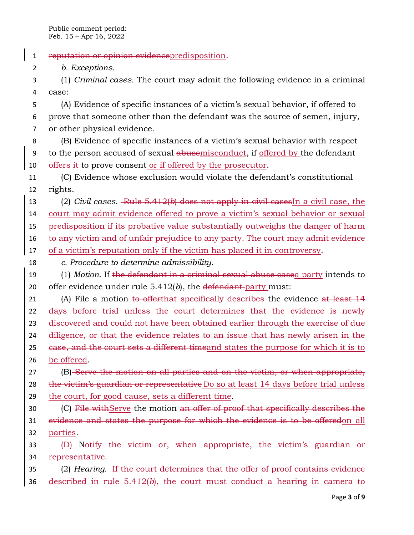Public comment period: Feb. 15 – Apr 16, 2022

| reputation or opinion evidencepredisposition. |  |  |
|-----------------------------------------------|--|--|
|                                               |  |  |
|                                               |  |  |

*b. Exceptions.* 

 (1) *Criminal cases.* The court may admit the following evidence in a criminal case:

 (A) Evidence of specific instances of a victim's sexual behavior, if offered to prove that someone other than the defendant was the source of semen, injury, or other physical evidence.

- (B) Evidence of specific instances of a victim's sexual behavior with respect to the person accused of sexual abusemisconduct, if offered by the defendant 10 offers it to prove consent or if offered by the prosecutor.
- (C) Evidence whose exclusion would violate the defendant's constitutional rights.

 (2) *Civil cases.* Rule 5.412(*b*) does not apply in civil casesIn a civil case, the court may admit evidence offered to prove a victim's sexual behavior or sexual predisposition if its probative value substantially outweighs the danger of harm to any victim and of unfair prejudice to any party. The court may admit evidence of a victim's reputation only if the victim has placed it in controversy.

- *c. Procedure to determine admissibility.*
- (1) *Motion.* If the defendant in a criminal sexual abuse casea party intends to offer evidence under rule 5.412(*b*), the defendant party must:

21 (A) File a motion to offer that specifically describes the evidence at least 14 22 days before trial unless the court determines that the evidence is newly 23 discovered and could not have been obtained earlier through the exercise of due 24 diligence, or that the evidence relates to an issue that has newly arisen in the 25 ease, and the court sets a different time and states the purpose for which it is to be offered.

 (B) Serve the motion on all parties and on the victim, or when appropriate, 28 the victim's guardian or representative Do so at least 14 days before trial unless the court, for good cause, sets a different time.

 (C) File withServe the motion an offer of proof that specifically describes the 31 evidence and states the purpose for which the evidence is to be offeredon all parties.

 (D) Notify the victim or, when appropriate, the victim's guardian or representative.

 (2) *Hearing.* If the court determines that the offer of proof contains evidence described in rule 5.412(*b*), the court must conduct a hearing in camera to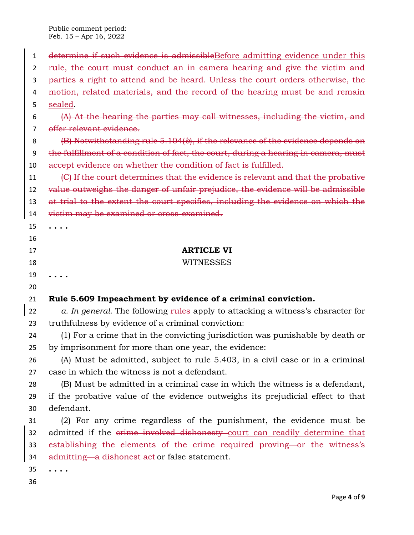| 1  | determine if such evidence is admissible Before admitting evidence under this        |
|----|--------------------------------------------------------------------------------------|
| 2  | rule, the court must conduct an in camera hearing and give the victim and            |
| 3  | parties a right to attend and be heard. Unless the court orders otherwise, the       |
| 4  | motion, related materials, and the record of the hearing must be and remain          |
| 5  | sealed.                                                                              |
| 6  | (A) At the hearing the parties may call witnesses, including the victim, and         |
| 7  | offer relevant evidence.                                                             |
| 8  | $(B)$ Notwithstanding rule 5.104 $(b)$ , if the relevance of the evidence depends on |
| 9  | the fulfillment of a condition of fact, the court, during a hearing in camera, must  |
| 10 | accept evidence on whether the condition of fact is fulfilled.                       |
| 11 | (C) If the court determines that the evidence is relevant and that the probative     |
| 12 | value outweighs the danger of unfair prejudice, the evidence will be admissible      |
| 13 | at trial to the extent the court specifies, including the evidence on which the      |
| 14 | victim may be examined or cross examined.                                            |
| 15 | .                                                                                    |
| 16 |                                                                                      |
| 17 | <b>ARTICLE VI</b>                                                                    |
| 18 | <b>WITNESSES</b>                                                                     |
| 19 | .                                                                                    |
| 20 |                                                                                      |
| 21 | Rule 5.609 Impeachment by evidence of a criminal conviction.                         |
| 22 | a. In general. The following rules apply to attacking a witness's character for      |
| 23 | truthfulness by evidence of a criminal conviction:                                   |
| 24 | (1) For a crime that in the convicting jurisdiction was punishable by death or       |
| 25 | by imprisonment for more than one year, the evidence:                                |
| 26 | (A) Must be admitted, subject to rule 5.403, in a civil case or in a criminal        |
| 27 | case in which the witness is not a defendant.                                        |
| 28 | (B) Must be admitted in a criminal case in which the witness is a defendant,         |
| 29 | if the probative value of the evidence outweighs its prejudicial effect to that      |
| 30 | defendant.                                                                           |
| 31 | (2) For any crime regardless of the punishment, the evidence must be                 |
| 32 | admitted if the erime involved dishonesty court can readily determine that           |
| 33 | establishing the elements of the crime required proving—or the witness's             |
| 34 | admitting—a dishonest act or false statement.                                        |
| 35 |                                                                                      |
| 36 |                                                                                      |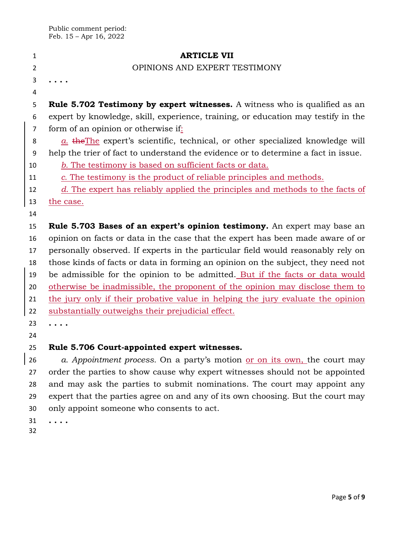| 1  | <b>ARTICLE VII</b>                                                                 |
|----|------------------------------------------------------------------------------------|
| 2  | OPINIONS AND EXPERT TESTIMONY                                                      |
| 3  | $\ddot{\phantom{0}}$                                                               |
| 4  |                                                                                    |
| 5  | Rule 5.702 Testimony by expert witnesses. A witness who is qualified as an         |
| 6  | expert by knowledge, skill, experience, training, or education may testify in the  |
| 7  | form of an opinion or otherwise if:                                                |
| 8  | a. the The expert's scientific, technical, or other specialized knowledge will     |
| 9  | help the trier of fact to understand the evidence or to determine a fact in issue. |
| 10 | b. The testimony is based on sufficient facts or data.                             |
| 11 | c. The testimony is the product of reliable principles and methods.                |
| 12 | d. The expert has reliably applied the principles and methods to the facts of      |
| 13 | the case.                                                                          |
| 14 |                                                                                    |
| 15 | Rule 5.703 Bases of an expert's opinion testimony. An expert may base an           |
| 16 | opinion on facts or data in the case that the expert has been made aware of or     |
| 17 | personally observed. If experts in the particular field would reasonably rely on   |
| 18 | those kinds of facts or data in forming an opinion on the subject, they need not   |
| 19 | be admissible for the opinion to be admitted. But if the facts or data would       |
| 20 | otherwise be inadmissible, the proponent of the opinion may disclose them to       |
| 21 | the jury only if their probative value in helping the jury evaluate the opinion    |
| 22 | substantially outweighs their prejudicial effect.                                  |
| 23 | $\ddot{\phantom{0}}$                                                               |
| 24 |                                                                                    |
| 25 | Rule 5.706 Court-appointed expert witnesses.                                       |
| 26 | a. Appointment process. On a party's motion or on its own, the court may           |
| 27 | order the parties to show cause why expert witnesses should not be appointed       |
| 28 | and may ask the parties to submit nominations. The court may appoint any           |
| 29 | expert that the parties agree on and any of its own choosing. But the court may    |
| 30 | only appoint someone who consents to act.                                          |
|    |                                                                                    |

- **. . . .**
-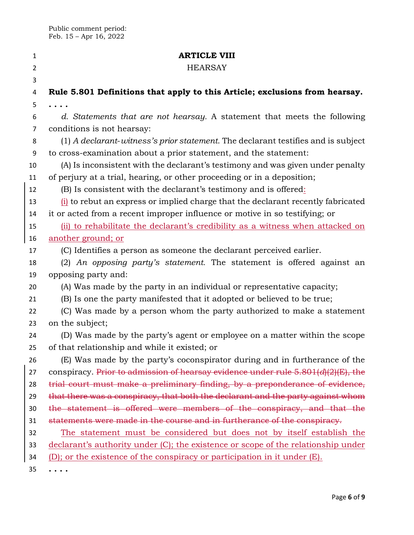Public comment period: Feb. 15 – Apr 16, 2022

| $\mathbf{1}$   | <b>ARTICLE VIII</b>                                                                  |
|----------------|--------------------------------------------------------------------------------------|
| $\overline{2}$ | <b>HEARSAY</b>                                                                       |
| 3              |                                                                                      |
| 4              | Rule 5.801 Definitions that apply to this Article; exclusions from hearsay.          |
| 5              | .                                                                                    |
| 6              | d. Statements that are not hearsay. A statement that meets the following             |
| 7              | conditions is not hearsay:                                                           |
| 8              | (1) A declarant-witness's prior statement. The declarant testifies and is subject    |
| 9              | to cross-examination about a prior statement, and the statement:                     |
| 10             | (A) Is inconsistent with the declarant's testimony and was given under penalty       |
| 11             | of perjury at a trial, hearing, or other proceeding or in a deposition;              |
| 12             | (B) Is consistent with the declarant's testimony and is offered:                     |
| 13             | (i) to rebut an express or implied charge that the declarant recently fabricated     |
| 14             | it or acted from a recent improper influence or motive in so testifying; or          |
| 15             | (ii) to rehabilitate the declarant's credibility as a witness when attacked on       |
| 16             | another ground; or                                                                   |
| 17             | (C) Identifies a person as someone the declarant perceived earlier.                  |
| 18             | (2) An opposing party's statement. The statement is offered against an               |
| 19             | opposing party and:                                                                  |
| 20             | (A) Was made by the party in an individual or representative capacity;               |
| 21             | (B) Is one the party manifested that it adopted or believed to be true;              |
| 22             | (C) Was made by a person whom the party authorized to make a statement               |
| 23             | on the subject;                                                                      |
| 24             | (D) Was made by the party's agent or employee on a matter within the scope           |
| 25             | of that relationship and while it existed; or                                        |
| 26             | (E) Was made by the party's coconspirator during and in furtherance of the           |
| 27             | conspiracy. Prior to admission of hearsay evidence under rule $5.801(d)(2)(E)$ , the |
| 28             | trial court must make a preliminary finding, by a preponderance of evidence,         |
| 29             | that there was a conspiracy, that both the declarant and the party against whom      |
| 30             | the statement is offered were members of the conspiracy, and that the                |
| 31             | statements were made in the course and in furtherance of the conspiracy.             |
| 32             | The statement must be considered but does not by itself establish the                |
| 33             | declarant's authority under (C); the existence or scope of the relationship under    |
| 34             | (D); or the existence of the conspiracy or participation in it under (E).            |
| 35             | .                                                                                    |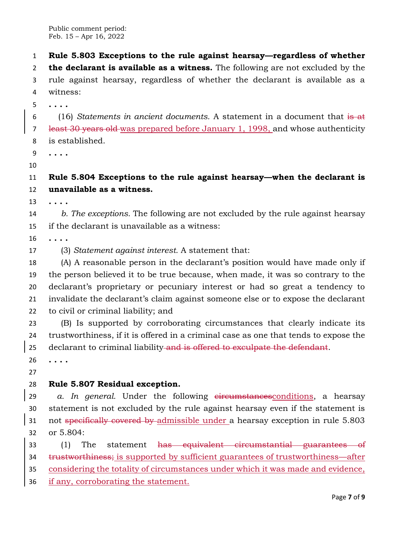#### **Rule 5.803 Exceptions to the rule against hearsay—regardless of whether**

 **the declarant is available as a witness.** The following are not excluded by the rule against hearsay, regardless of whether the declarant is available as a witness:

**. . . .**

 (16) *Statements in ancient documents.* A statement in a document that is at 7 least 30 years old was prepared before January 1, 1998, and whose authenticity is established.

- **. . . .**
- 

### **Rule 5.804 Exceptions to the rule against hearsay—when the declarant is unavailable as a witness.**

**. . . .**

 *b. The exceptions.* The following are not excluded by the rule against hearsay if the declarant is unavailable as a witness:

**. . . .**

(3) *Statement against interest.* A statement that:

 (A) A reasonable person in the declarant's position would have made only if the person believed it to be true because, when made, it was so contrary to the declarant's proprietary or pecuniary interest or had so great a tendency to invalidate the declarant's claim against someone else or to expose the declarant to civil or criminal liability; and

 (B) Is supported by corroborating circumstances that clearly indicate its trustworthiness, if it is offered in a criminal case as one that tends to expose the 25 declarant to criminal liability-and is offered to exculpate the defendant.

 **. . . .** 

# **Rule 5.807 Residual exception.**

*a. In general.* Under the following circumstances conditions, a hearsay statement is not excluded by the rule against hearsay even if the statement is 31 not specifically covered by admissible under a hearsay exception in rule 5.803 or 5.804:

 (1) The statement has equivalent circumstantial guarantees of trustworthiness; is supported by sufficient guarantees of trustworthiness—after considering the totality of circumstances under which it was made and evidence, if any, corroborating the statement.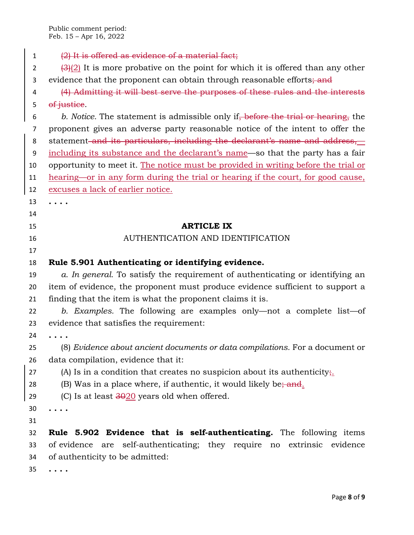| $\mathbf{1}$ | $(2)$ It is offered as evidence of a material fact;                                                 |
|--------------|-----------------------------------------------------------------------------------------------------|
| 2            | $\left(\frac{3}{2}\right)$ It is more probative on the point for which it is offered than any other |
| 3            | evidence that the proponent can obtain through reasonable efforts; and                              |
| 4            | (4) Admitting it will best serve the purposes of these rules and the interests                      |
| 5            | of justice.                                                                                         |
| 6            | b. Notice. The statement is admissible only if, before the trial or hearing, the                    |
| 7            | proponent gives an adverse party reasonable notice of the intent to offer the                       |
| 8            | statement and its particulars, including the declarant's name and address,—                         |
| 9            | including its substance and the declarant's name—so that the party has a fair                       |
| 10           | opportunity to meet it. The notice must be provided in writing before the trial or                  |
| 11           | hearing—or in any form during the trial or hearing if the court, for good cause,                    |
| 12           | excuses a lack of earlier notice.                                                                   |
| 13           | .                                                                                                   |
| 14           |                                                                                                     |
| 15           | <b>ARTICLE IX</b>                                                                                   |
| 16           | AUTHENTICATION AND IDENTIFICATION                                                                   |
| 17           |                                                                                                     |
| 18           | Rule 5.901 Authenticating or identifying evidence.                                                  |
| 19           | a. In general. To satisfy the requirement of authenticating or identifying an                       |
| 20           | item of evidence, the proponent must produce evidence sufficient to support a                       |
| 21           | finding that the item is what the proponent claims it is.                                           |
| 22           | b. Examples. The following are examples only—not a complete list—of                                 |
| 23           | evidence that satisfies the requirement:                                                            |
| 24           |                                                                                                     |
| 25           | (8) Evidence about ancient documents or data compilations. For a document or                        |
| 26           | data compilation, evidence that it:                                                                 |
| 27           | (A) Is in a condition that creates no suspicion about its authenticity.                             |
| 28           | (B) Was in a place where, if authentic, it would likely be; and.                                    |
| 29           | (C) Is at least $3020$ years old when offered.                                                      |
| 30           | .                                                                                                   |
| 31           |                                                                                                     |
| 32           | <b>Rule 5.902 Evidence that is self-authenticating.</b> The following items                         |
| 33           | of evidence are self-authenticating; they require no extrinsic evidence                             |
| 34           | of authenticity to be admitted:                                                                     |
| 35           | .                                                                                                   |